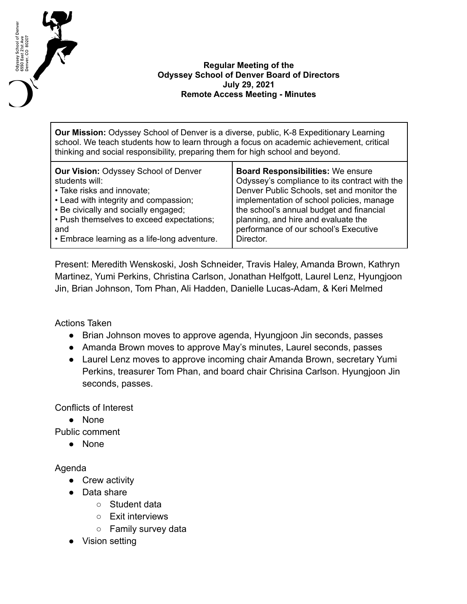

## **Regular Meeting of the Odyssey School of Denver Board of Directors July 29, 2021 Remote Access Meeting - Minutes**

**Our Mission:** Odyssey School of Denver is a diverse, public, K-8 Expeditionary Learning school. We teach students how to learn through a focus on academic achievement, critical thinking and social responsibility, preparing them for high school and beyond.

| <b>Our Vision: Odyssey School of Denver</b>  | <b>Board Responsibilities: We ensure</b>      |
|----------------------------------------------|-----------------------------------------------|
| students will:                               | Odyssey's compliance to its contract with the |
| • Take risks and innovate;                   | Denver Public Schools, set and monitor the    |
| • Lead with integrity and compassion;        | implementation of school policies, manage     |
| • Be civically and socially engaged;         | the school's annual budget and financial      |
| • Push themselves to exceed expectations;    | planning, and hire and evaluate the           |
| and                                          | performance of our school's Executive         |
| • Embrace learning as a life-long adventure. | Director.                                     |

Present: Meredith Wenskoski, Josh Schneider, Travis Haley, Amanda Brown, Kathryn Martinez, Yumi Perkins, Christina Carlson, Jonathan Helfgott, Laurel Lenz, Hyungjoon Jin, Brian Johnson, Tom Phan, Ali Hadden, Danielle Lucas-Adam, & Keri Melmed

Actions Taken

- Brian Johnson moves to approve agenda, Hyungjoon Jin seconds, passes
- Amanda Brown moves to approve May's minutes, Laurel seconds, passes
- Laurel Lenz moves to approve incoming chair Amanda Brown, secretary Yumi Perkins, treasurer Tom Phan, and board chair Chrisina Carlson. Hyungjoon Jin seconds, passes.

Conflicts of Interest

● None

Public comment

● None

## Agenda

- Crew activity
- Data share
	- Student data
	- Exit interviews
	- Family survey data
- Vision setting